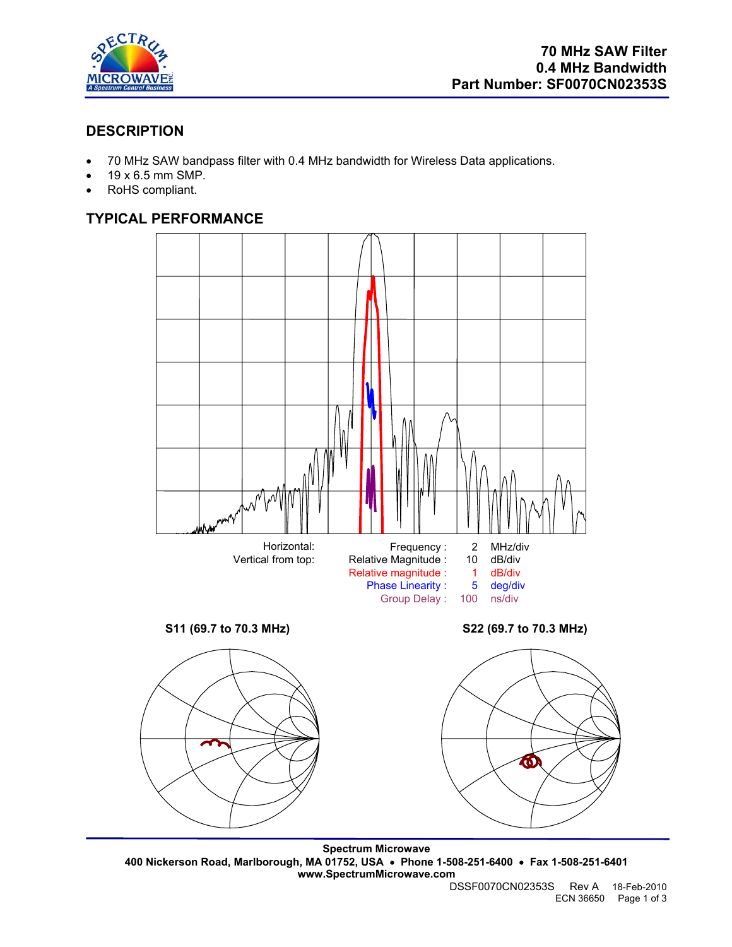

# **DESCRIPTION**

- 70 MHz SAW bandpass filter with 0.4 MHz bandwidth for Wireless Data applications.
- 19 x 6.5 mm SMP.
- RoHS compliant.

# **TYPICAL PERFORMANCE**



**Spectrum Microwave 400 Nickerson Road, Marlborough, MA 01752, USA** • **Phone 1-508-251-6400** • **Fax 1-508-251-6401 www.SpectrumMicrowave.com** 

DSSF0070CN02353S Rev A 18-Feb-2010 ECN 36650 Page 1 of 3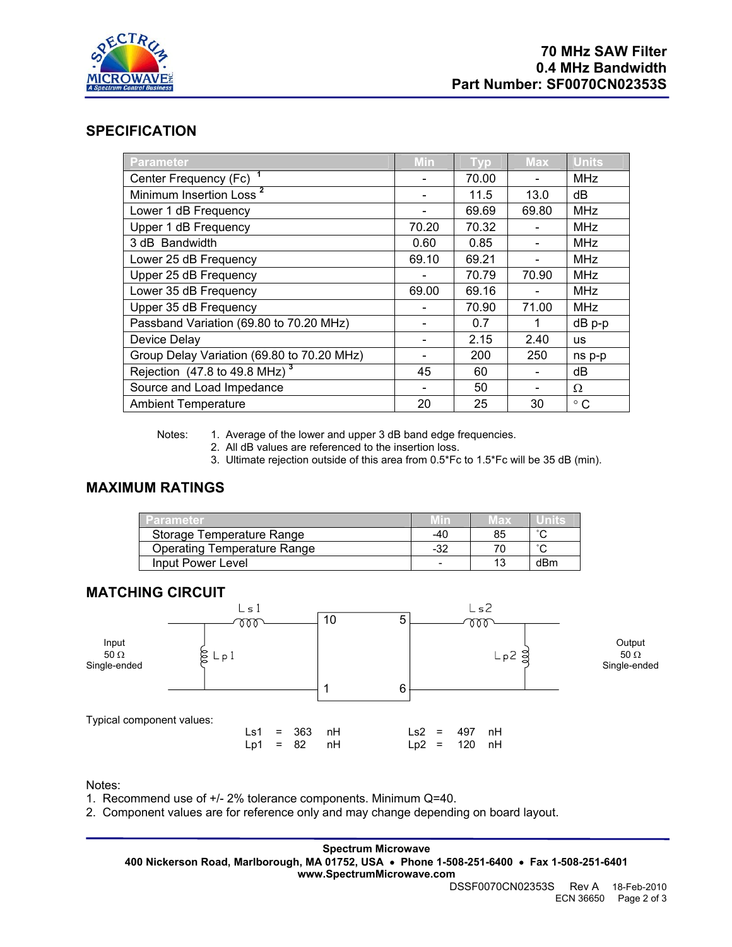

### **SPECIFICATION**

| <b>Parameter</b>                                  | Min   | <b>Typ</b> | <b>Max</b> | <b>Units</b> |
|---------------------------------------------------|-------|------------|------------|--------------|
| Center Frequency (Fc) <sup>1</sup>                |       | 70.00      |            | <b>MHz</b>   |
| Minimum Insertion Loss <sup>2</sup>               |       | 11.5       | 13.0       | dB           |
| Lower 1 dB Frequency                              |       | 69.69      | 69.80      | <b>MHz</b>   |
| Upper 1 dB Frequency                              | 70.20 | 70.32      |            | <b>MHz</b>   |
| 3 dB Bandwidth                                    | 0.60  | 0.85       |            | <b>MHz</b>   |
| Lower 25 dB Frequency                             | 69.10 | 69.21      |            | <b>MHz</b>   |
| Upper 25 dB Frequency                             |       | 70.79      | 70.90      | <b>MHz</b>   |
| Lower 35 dB Frequency                             | 69.00 | 69.16      |            | <b>MHz</b>   |
| Upper 35 dB Frequency                             |       | 70.90      | 71.00      | <b>MHz</b>   |
| Passband Variation (69.80 to 70.20 MHz)           |       | 0.7        | 1          | dB p-p       |
| Device Delay                                      |       | 2.15       | 2.40       | <b>us</b>    |
| Group Delay Variation (69.80 to 70.20 MHz)        |       | 200        | 250        | ns p-p       |
| Rejection $(47.8 \text{ to } 49.8 \text{ MHz})^3$ | 45    | 60         |            | dB           |
| Source and Load Impedance                         |       | 50         |            | Ω            |
| <b>Ambient Temperature</b>                        | 20    | 25         | 30         | $^{\circ}$ C |

Notes: 1. Average of the lower and upper 3 dB band edge frequencies.

2. All dB values are referenced to the insertion loss.

3. Ultimate rejection outside of this area from 0.5\*Fc to 1.5\*Fc will be 35 dB (min).

## **MAXIMUM RATINGS**

| Parameter                          | Min | Max | units  |
|------------------------------------|-----|-----|--------|
| Storage Temperature Range          | -40 | 85  | $\sim$ |
| <b>Operating Temperature Range</b> | -32 |     | $\sim$ |
| Input Power Level                  |     |     | dBm    |

### **MATCHING CIRCUIT**



Notes:

1. Recommend use of +/- 2% tolerance components. Minimum Q=40.

2. Component values are for reference only and may change depending on board layout.

**Spectrum Microwave 400 Nickerson Road, Marlborough, MA 01752, USA** • **Phone 1-508-251-6400** • **Fax 1-508-251-6401 www.SpectrumMicrowave.com**